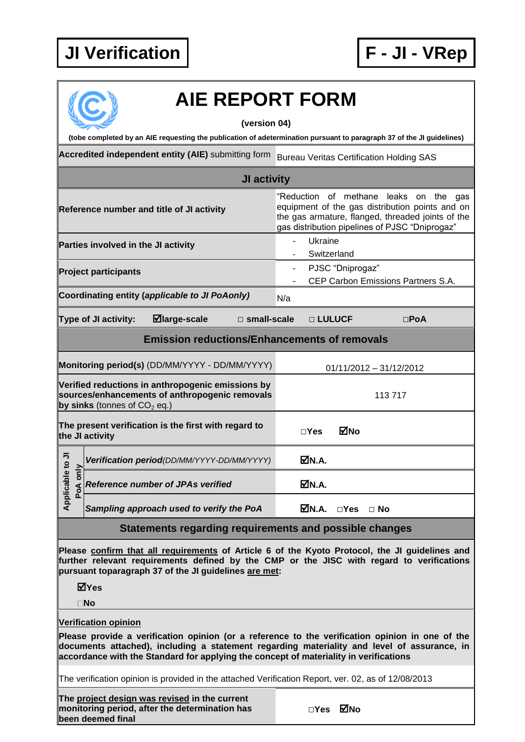## **JI Verification F - JI - VRep**



## **AIE REPORT FORM**

**(version 04)**

**(tobe completed by an AIE requesting the publication of adetermination pursuant to paragraph 37 of the JI guidelines)**

**Accredited independent entity (AIE)** submitting form Bureau Veritas Certification Holding SAS

| JI activity                                                                                                                                                                                                                                          |  |                                            |  |  |                                                                                                                                                                                                     |                  |                                    |               |  |  |  |
|------------------------------------------------------------------------------------------------------------------------------------------------------------------------------------------------------------------------------------------------------|--|--------------------------------------------|--|--|-----------------------------------------------------------------------------------------------------------------------------------------------------------------------------------------------------|------------------|------------------------------------|---------------|--|--|--|
| Reference number and title of JI activity                                                                                                                                                                                                            |  |                                            |  |  | "Reduction of methane<br>leaks on the gas<br>equipment of the gas distribution points and on<br>the gas armature, flanged, threaded joints of the<br>gas distribution pipelines of PJSC "Dniprogaz" |                  |                                    |               |  |  |  |
| Parties involved in the JI activity                                                                                                                                                                                                                  |  |                                            |  |  | Ukraine<br>Switzerland                                                                                                                                                                              |                  |                                    |               |  |  |  |
| <b>Project participants</b>                                                                                                                                                                                                                          |  |                                            |  |  |                                                                                                                                                                                                     | PJSC "Dniprogaz" | CEP Carbon Emissions Partners S.A. |               |  |  |  |
| Coordinating entity (applicable to JI PoAonly)                                                                                                                                                                                                       |  |                                            |  |  |                                                                                                                                                                                                     |                  |                                    |               |  |  |  |
| ⊠large-scale<br>Type of JI activity:<br>$\square$ small-scale                                                                                                                                                                                        |  |                                            |  |  | □ LULUCF                                                                                                                                                                                            |                  |                                    | $\square$ PoA |  |  |  |
| <b>Emission reductions/Enhancements of removals</b>                                                                                                                                                                                                  |  |                                            |  |  |                                                                                                                                                                                                     |                  |                                    |               |  |  |  |
| Monitoring period(s) (DD/MM/YYYY - DD/MM/YYYY)                                                                                                                                                                                                       |  |                                            |  |  |                                                                                                                                                                                                     |                  | $01/11/2012 - 31/12/2012$          |               |  |  |  |
| Verified reductions in anthropogenic emissions by<br>sources/enhancements of anthropogenic removals<br>by sinks (tonnes of $CO2$ eq.)                                                                                                                |  |                                            |  |  | 113717                                                                                                                                                                                              |                  |                                    |               |  |  |  |
| The present verification is the first with regard to<br>the JI activity                                                                                                                                                                              |  |                                            |  |  | $\square$ Yes                                                                                                                                                                                       | MNo              |                                    |               |  |  |  |
| Applicable to JI<br>PoA only                                                                                                                                                                                                                         |  | Verification period(DD/MM/YYYY-DD/MM/YYYY) |  |  | MM.A.                                                                                                                                                                                               |                  |                                    |               |  |  |  |
|                                                                                                                                                                                                                                                      |  | Reference number of JPAs verified          |  |  | ØN.A.                                                                                                                                                                                               |                  |                                    |               |  |  |  |
|                                                                                                                                                                                                                                                      |  | Sampling approach used to verify the PoA   |  |  | ØN.A.                                                                                                                                                                                               | $\square$ Yes    | $\Box$ No                          |               |  |  |  |
| Statements regarding requirements and possible changes                                                                                                                                                                                               |  |                                            |  |  |                                                                                                                                                                                                     |                  |                                    |               |  |  |  |
| Please confirm that all requirements of Article 6 of the Kyoto Protocol, the JI guidelines and<br>further relevant requirements defined by the CMP or the JISC with regard to verifications<br>pursuant toparagraph 37 of the JI guidelines are met: |  |                                            |  |  |                                                                                                                                                                                                     |                  |                                    |               |  |  |  |

**Yes**

**No**

## **Verification opinion**

**Please provide a verification opinion (or a reference to the verification opinion in one of the documents attached), including a statement regarding materiality and level of assurance, in accordance with the Standard for applying the concept of materiality in verifications**

The verification opinion is provided in the attached Verification Report, ver. 02, as of 12/08/2013

**The project design was revised in the current monitoring period, after the determination has been deemed final**